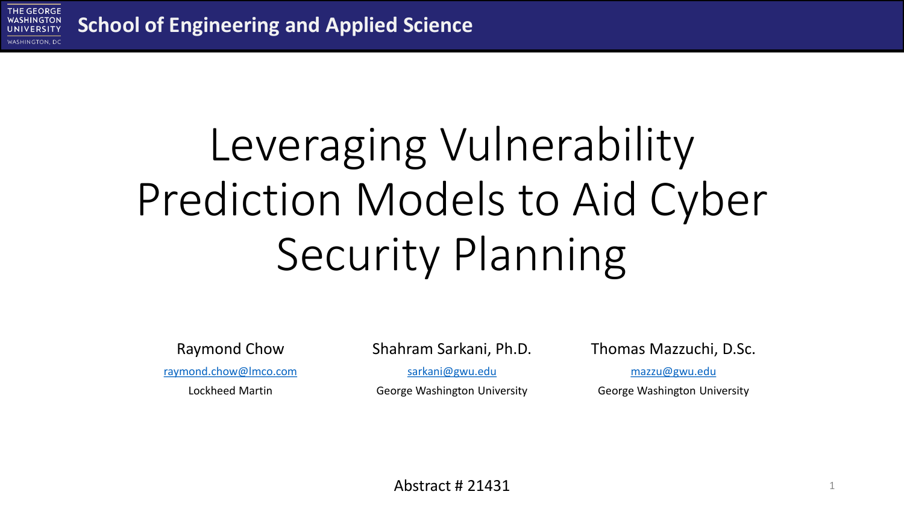

# Leveraging Vulnerability Prediction Models to Aid Cyber Security Planning

Raymond Chow

[raymond.chow@lmco.com](mailto:raymond.chow@lmco.com)

Lockheed Martin

Shahram Sarkani, Ph.D.

[sarkani@gwu.edu](mailto:sarkani@gwu.edu)

George Washington University

Thomas Mazzuchi, D.Sc.

[mazzu@gwu.edu](mailto:mazzu@gwu.edu)

George Washington University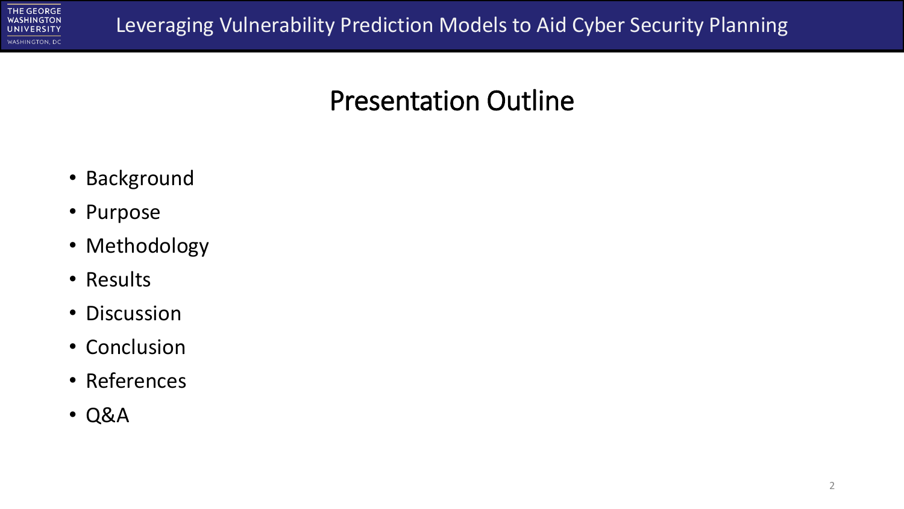

#### Presentation Outline

- Background
- Purpose
- Methodology
- Results
- Discussion
- Conclusion
- References
- Q&A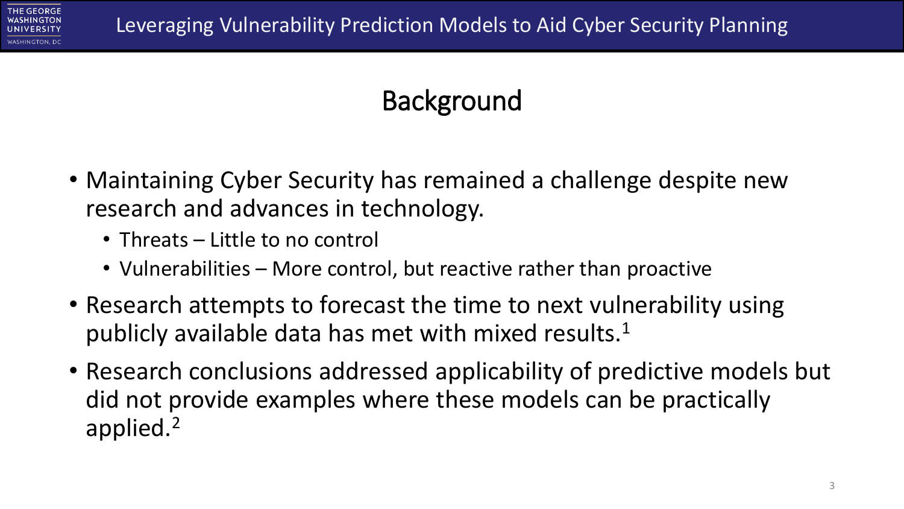

## **Background**

- Maintaining Cyber Security has remained a challenge despite new research and advances in technology.
	- Threats Little to no control
	- Vulnerabilities More control, but reactive rather than proactive
- Research attempts to forecast the time to next vulnerability using publicly available data has met with mixed results.<sup>1</sup>
- Research conclusions addressed applicability of predictive models but did not provide examples where these models can be practically applied.<sup>2</sup>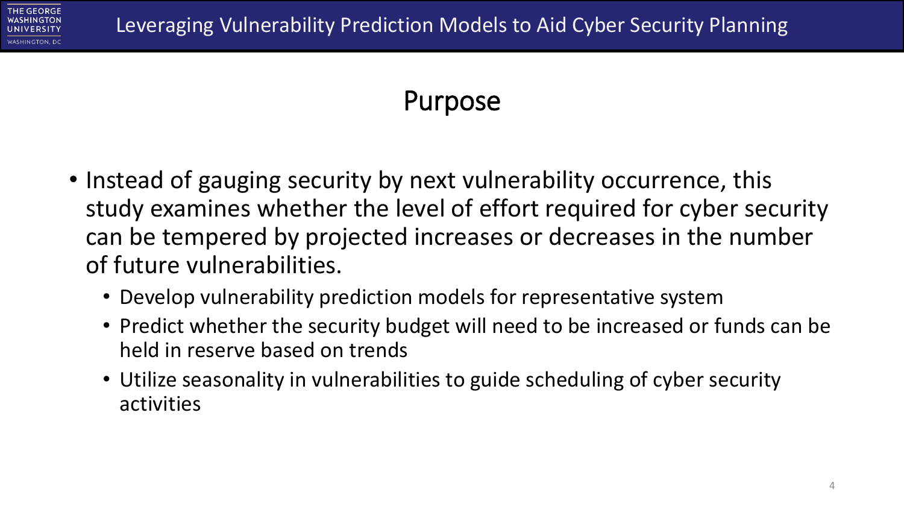

### Purpose

- Instead of gauging security by next vulnerability occurrence, this study examines whether the level of effort required for cyber security can be tempered by projected increases or decreases in the number of future vulnerabilities.
	- Develop vulnerability prediction models for representative system
	- Predict whether the security budget will need to be increased or funds can be held in reserve based on trends
	- Utilize seasonality in vulnerabilities to guide scheduling of cyber security activities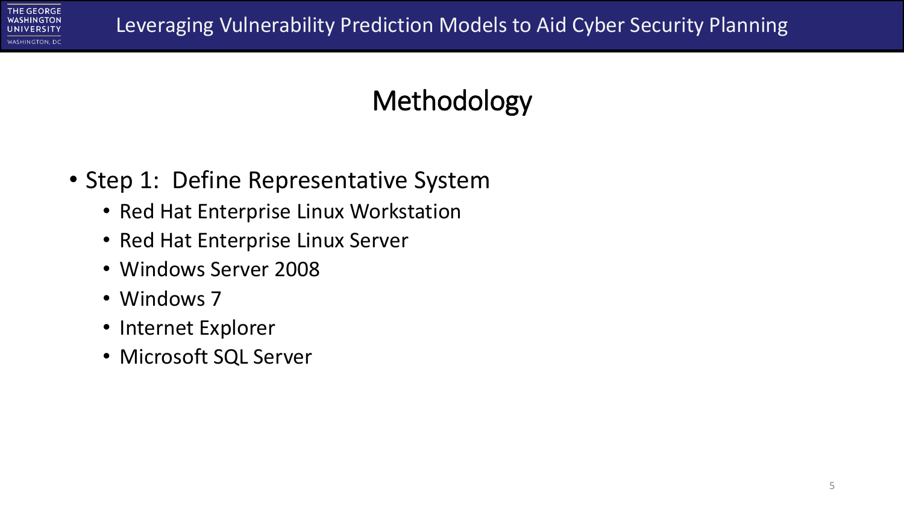

## Methodology

- Step 1: Define Representative System
	- Red Hat Enterprise Linux Workstation
	- Red Hat Enterprise Linux Server
	- Windows Server 2008
	- Windows 7
	- Internet Explorer
	- Microsoft SQL Server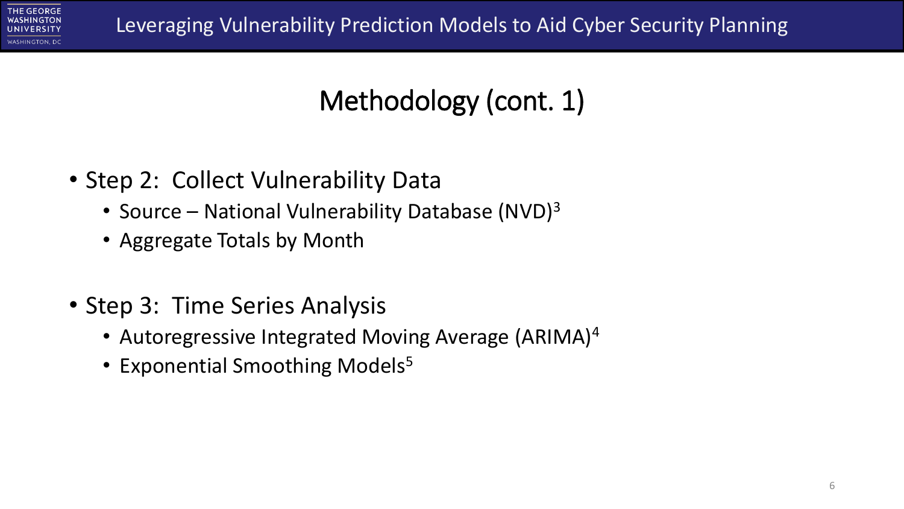

## Methodology (cont. 1)

- Step 2: Collect Vulnerability Data
	- Source National Vulnerability Database (NVD) $3$
	- Aggregate Totals by Month
- Step 3: Time Series Analysis
	- Autoregressive Integrated Moving Average (ARIMA)<sup>4</sup>
	- Exponential Smoothing Models<sup>5</sup>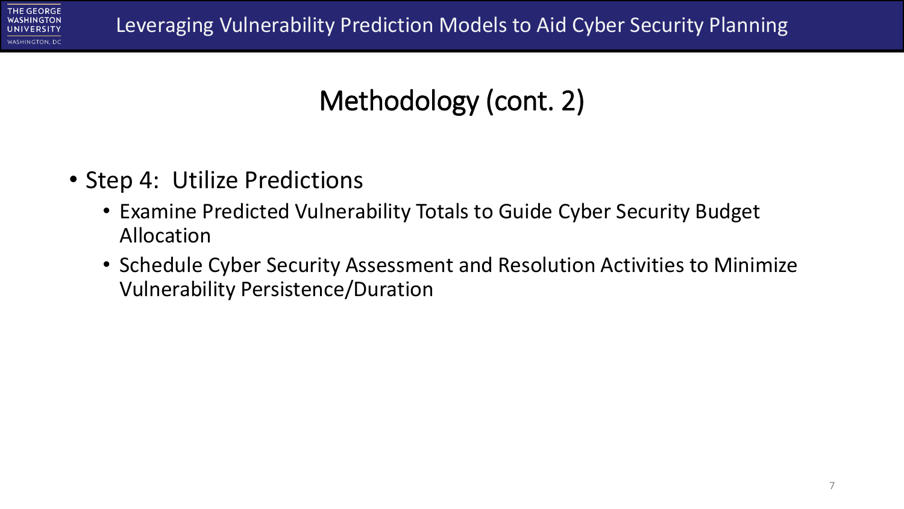

## Methodology (cont. 2)

- Step 4: Utilize Predictions
	- Examine Predicted Vulnerability Totals to Guide Cyber Security Budget Allocation
	- Schedule Cyber Security Assessment and Resolution Activities to Minimize Vulnerability Persistence/Duration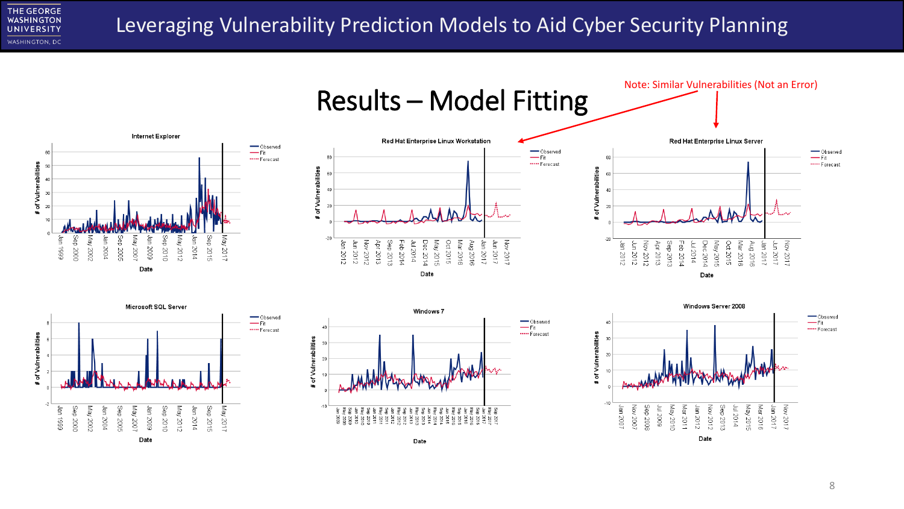**THE GEORGE WASHINGTON UNIVERSITY** WASHINGTON, DC

Date

#### Leveraging Vulnerability Prediction Models to Aid Cyber Security Planning



-Observed

\*\*\*\*\* Forecast

-Observed

\*\*\*\*\* Forecast

 $-Fit$ 

 $-$ Fit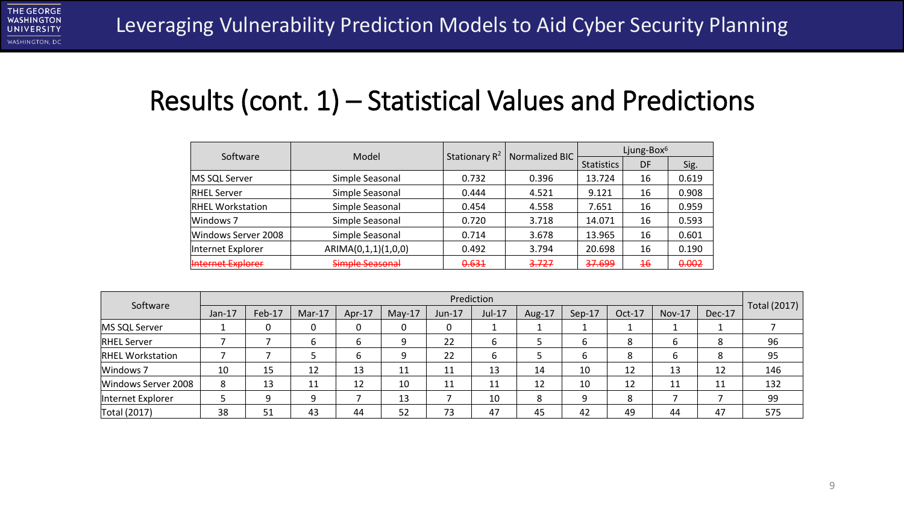

#### Results (cont. 1) – Statistical Values and Predictions

| Software                | Model               | Stationary $R^2$ | Normalized BIC |                   | Ljung-Box <sup>6</sup>                 |       |
|-------------------------|---------------------|------------------|----------------|-------------------|----------------------------------------|-------|
|                         |                     |                  |                | <b>Statistics</b> | DF<br>16<br>16<br>16<br>16<br>16<br>16 | Sig.  |
| MS SQL Server           | Simple Seasonal     | 0.732            | 0.396          | 13.724            |                                        | 0.619 |
| <b>RHEL Server</b>      | Simple Seasonal     | 0.444            | 4.521          | 9.121             |                                        | 0.908 |
| <b>RHEL Workstation</b> | Simple Seasonal     | 0.454            | 4.558          | 7.651             |                                        | 0.959 |
| Windows 7               | Simple Seasonal     | 0.720            | 3.718          | 14.071            |                                        | 0.593 |
| Windows Server 2008     | Simple Seasonal     | 0.714            | 3.678          | 13.965            |                                        | 0.601 |
| Internet Explorer       | ARIMA(0,1,1)(1,0,0) | 0.492            | 3.794          | 20.698            |                                        | 0.190 |
| Internet Explorer       | Simple Seasonal     | 0.631            | 3.727          | <del>37.699</del> | $\overline{46}$                        | 0.002 |

| Software                |          |        |          |          |          |        | Prediction |        |        |          |               |        |              |
|-------------------------|----------|--------|----------|----------|----------|--------|------------|--------|--------|----------|---------------|--------|--------------|
|                         | $Jan-17$ | Feb-17 | $Mar-17$ | $Apr-17$ | $May-17$ | Jun-17 | $Jul-17$   | Aug-17 | Sep-17 | $Oct-17$ | <b>Nov-17</b> | Dec-17 | Total (2017) |
| MS SQL Server           |          |        | 0        | 0        | 0        |        |            |        |        |          |               |        |              |
| <b>RHEL Server</b>      |          |        | 6        | 6        | 9        | 22     |            |        | 6      | 8        | ь             | 8      | 96           |
| <b>RHEL Workstation</b> |          |        |          | 6        | 9        | 22     |            |        | 6      | 8        | ь             | 8      | 95           |
| Windows 7               | 10       | 15     | 12       | 13       | 11       | 11     | 13         | 14     | 10     | 12       | 13            | 12     | 146          |
| Windows Server 2008     | 8        | 13     | 11       | 12       | 10       | 11     | 11         | 12     | 10     | 12       | 11            | 11     | 132          |
| Internet Explorer       |          | 9      | 9        |          | 13       |        | 10         | 8      | 9      | 8        |               |        | 99           |
| Total (2017)            | 38       | 51     | 43       | 44       | 52       | 73     | 47         | 45     | 42     | 49       | 44            | 47     | 575          |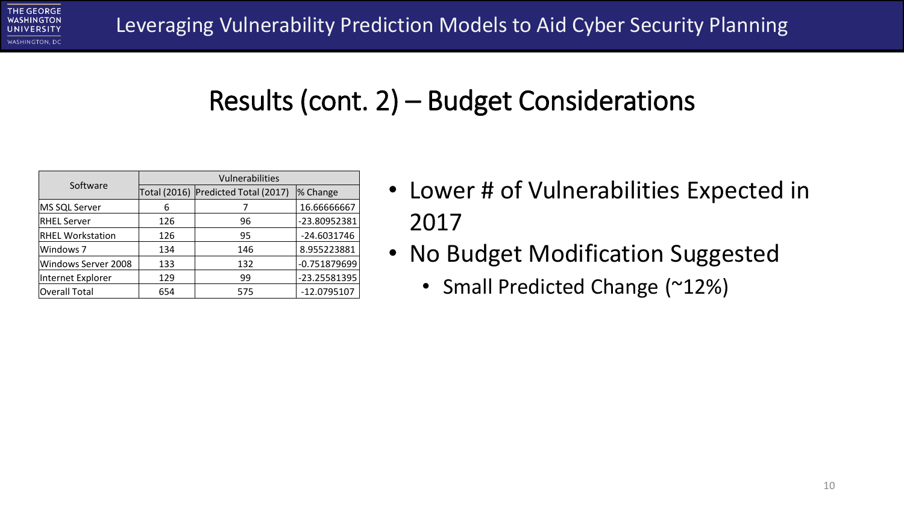#### Results (cont. 2) – Budget Considerations

| Software                |     | Vulnerabilities                     |              |
|-------------------------|-----|-------------------------------------|--------------|
|                         |     | Total (2016) Predicted Total (2017) | % Change     |
| MS SQL Server           | 6   |                                     | 16.66666667  |
| <b>RHEL Server</b>      | 126 | 96                                  | -23.80952381 |
| <b>RHEL Workstation</b> | 126 | 95                                  | -24.6031746  |
| Windows 7               | 134 | 146                                 | 8.955223881  |
| Windows Server 2008     | 133 | 132                                 | -0.751879699 |
| Internet Explorer       | 129 | 99                                  | -23.25581395 |
| Overall Total           | 654 | 575                                 | -12.0795107  |

- Lower # of Vulnerabilities Expected in 2017
- No Budget Modification Suggested
	- Small Predicted Change (~12%)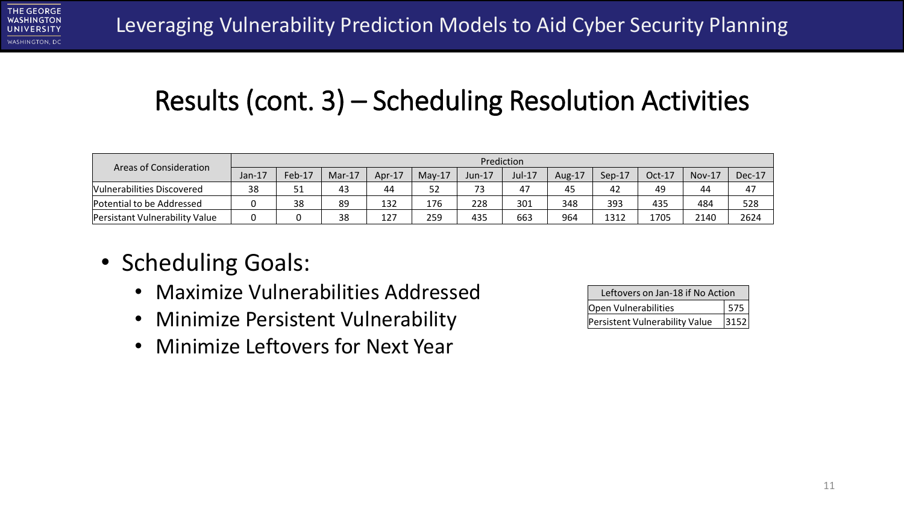

### Results (cont. 3) – Scheduling Resolution Activities

| Areas of Consideration         |        |        |          |        |          |        | Prediction |        |        |          |          |          |
|--------------------------------|--------|--------|----------|--------|----------|--------|------------|--------|--------|----------|----------|----------|
|                                | Jan-17 | Feb-17 | $Mar-17$ | Apr-17 | $Mav-17$ | Jun-17 | Jul-17     | Aug-17 | Sep-17 | $Oct-17$ | $Nov-17$ | $Dec-17$ |
| Vulnerabilities Discovered     | 38     | 51     | 43       | 44     | 52       | 73     | 47         | 45     | 42     | 49       | 44       | 47       |
| Potential to be Addressed      |        | 38     | 89       | 132    | 176      | 228    | 301        | 348    | 393    | 435      | 484      | 528      |
| Persistant Vulnerability Value |        |        | 38       | 127    | 259      | 435    | 663        | 964    | 1312   | 1705     | 2140     | 2624     |

- Scheduling Goals:
	- Maximize Vulnerabilities Addressed
	- Minimize Persistent Vulnerability
	- Minimize Leftovers for Next Year

| Leftovers on Jan-18 if No Action |           |
|----------------------------------|-----------|
| Open Vulnerabilities             |           |
| Persistent Vulnerability Value   | $13152 +$ |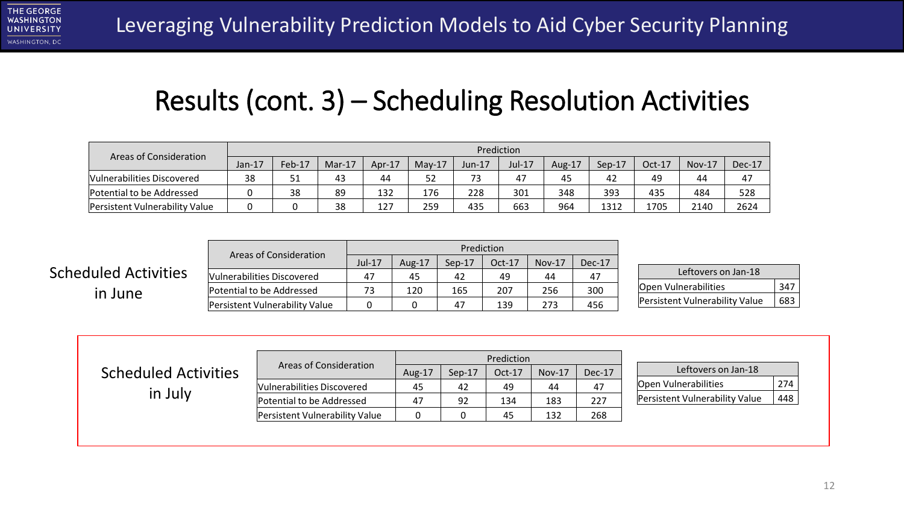

#### Results (cont. 3) – Scheduling Resolution Activities

| <b>Areas of Consideration</b>  |          |        |        |           |          |        | Prediction |        |          |          |          |          |
|--------------------------------|----------|--------|--------|-----------|----------|--------|------------|--------|----------|----------|----------|----------|
|                                | $Jan-17$ | Feb-17 | Mar-17 | Apr- $17$ | $Mav-17$ | Jun-17 | $Jul-17$   | Aug-17 | $Sep-17$ | $Oct-17$ | $Nov-17$ | $Dec-17$ |
| Vulnerabilities Discovered     | 38       | 51     | 43     | 44        | 52       | 73     | 47         | 45     | 42       | 49       | 44       | 47       |
| Potential to be Addressed      |          | 38     | 89     | 132       | 176      | 228    | 301        | 348    | 393      | 435      | 484      | 528      |
| Persistent Vulnerability Value |          |        | 38     | 127       | 259      | 435    | 663        | 964    | 1312     | 1705     | 2140     | 2624     |

|                             | Areas of Consideration         |        | Prediction |          |          |          |          |  |  |
|-----------------------------|--------------------------------|--------|------------|----------|----------|----------|----------|--|--|
|                             |                                | Jul-17 | Aug-17     | $Sep-17$ | $Oct-17$ | $Nov-17$ | $Dec-17$ |  |  |
| <b>Scheduled Activities</b> | Vulnerabilities Discovered     | 47     | 45         | 42       | 49       | 44       | 47       |  |  |
| in June                     | Potential to be Addressed      | 73     | 120        | 165      | 207      | 256      | 300      |  |  |
|                             | Persistent Vulnerability Value |        |            | 47       | 139      | 273      | 456      |  |  |

| Leftovers on Jan-18            |     |
|--------------------------------|-----|
| Open Vulnerabilities           | 347 |
| Persistent Vulnerability Value | 683 |

|                             |                                |        |        | Prediction |          |        |                                       |     |
|-----------------------------|--------------------------------|--------|--------|------------|----------|--------|---------------------------------------|-----|
| <b>Scheduled Activities</b> | Areas of Consideration         | Aug-17 | Sep-17 | Oct-17     | $Nov-17$ | Dec-17 | Leftovers on Jan-18                   |     |
| in July                     | Vulnerabilities Discovered     | 45     | 42     | 49         | 44       | 47     | Open Vulnerabilities                  | 274 |
|                             | Potential to be Addressed      | 47     | 92     | 134        | 183      | 227    | <b>Persistent Vulnerability Value</b> | 448 |
|                             | Persistent Vulnerability Value |        |        | 45         | 132      | 268    |                                       |     |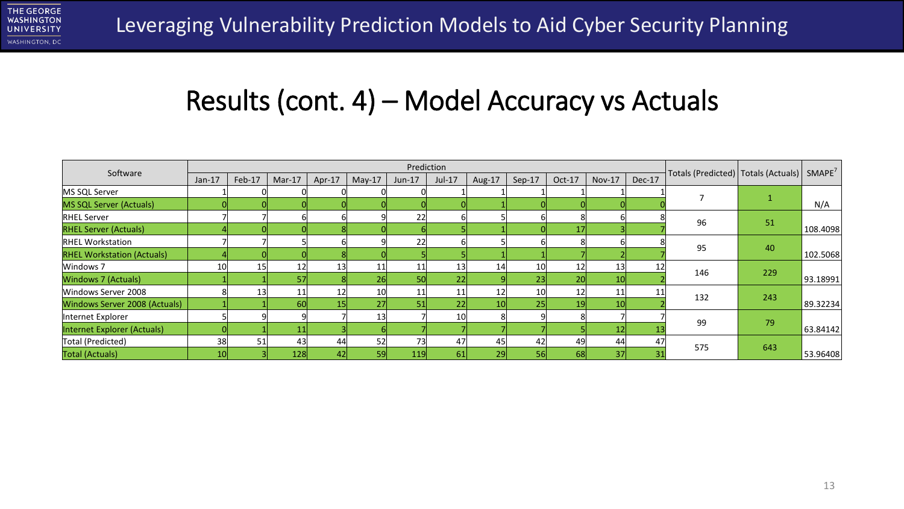

#### Results (cont. 4) – Model Accuracy vs Actuals

|                                   |                 |        |          |                 |          | Prediction      |                 |        |                 |                 |                 |        |                                                            |     |          |
|-----------------------------------|-----------------|--------|----------|-----------------|----------|-----------------|-----------------|--------|-----------------|-----------------|-----------------|--------|------------------------------------------------------------|-----|----------|
| Software                          | $Jan-17$        | Feb-17 | $Mar-17$ | Apr-17          | $May-17$ | $Jun-17$        | $Jul-17$        | Aug-17 | Sep-17          | Oct-17          | <b>Nov-17</b>   | Dec-17 | Totals (Predicted)   Totals (Actuals)   SMAPE <sup>7</sup> |     |          |
| MS SQL Server                     |                 |        |          |                 |          |                 |                 |        |                 |                 |                 |        |                                                            |     |          |
| MS SQL Server (Actuals)           |                 |        |          |                 |          |                 |                 |        |                 |                 |                 |        |                                                            |     | N/A      |
| <b>RHEL Server</b>                |                 |        |          |                 |          | 22              |                 |        |                 |                 |                 |        | 96                                                         |     |          |
| <b>RHEL Server (Actuals)</b>      |                 |        |          |                 |          |                 |                 |        |                 |                 |                 |        |                                                            | 51  | 108.4098 |
| <b>RHEL Workstation</b>           |                 |        |          |                 |          | 22              |                 |        |                 |                 |                 |        | 95                                                         | 40  |          |
| <b>RHEL Workstation (Actuals)</b> |                 |        |          |                 |          |                 |                 |        |                 |                 |                 |        |                                                            |     | 102.5068 |
| Windows 7                         | 10              | 15     | 12       | 13              | 11       | 11              | 13              | 14     | 10 <sup>1</sup> | 12 <sup>1</sup> | 13              |        | 146                                                        | 229 |          |
| Windows 7 (Actuals)               |                 |        | 57       |                 | 26       | 50 <sub>l</sub> | 22              |        | 23              | 20 <sup>1</sup> | 10 <sup>1</sup> |        |                                                            |     | 93.18991 |
| Windows Server 2008               |                 | 13     | 11       | 12              | 10       | 11              | 11              | 12     | 10 <sup>1</sup> | 12 <sup>1</sup> | 11              |        | 132                                                        | 243 |          |
| Windows Server 2008 (Actuals)     |                 |        | 60       | 15 <sub>l</sub> | 27       | 51              | 22              | 10     | 25              | 19 <sup>1</sup> | 10 <sup>1</sup> |        |                                                            |     | 89.32234 |
| Internet Explorer                 |                 |        |          |                 | 13       |                 | 10 <sup>1</sup> | 8      |                 |                 |                 |        | 99                                                         | 79  |          |
| Internet Explorer (Actuals)       |                 |        | 11       |                 |          |                 |                 |        |                 |                 | 12 <sub>h</sub> |        |                                                            |     | 63.84142 |
| Total (Predicted)                 | 38              | 51     | 43       | 44              | 52       | 73              | 47              | 45     | 42              | 49              | 44              | 47     | 575                                                        |     |          |
| Total (Actuals)                   | 10 <sup>1</sup> |        | 128      | 42              | 59       | 119             | 61              | 29     | 56              | 681             | 37 <sup>1</sup> |        |                                                            | 643 | 53.96408 |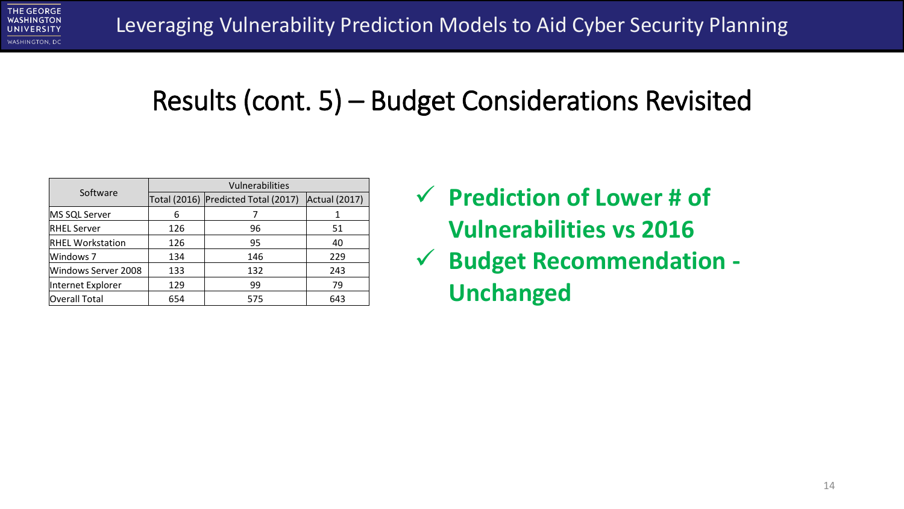

#### Results (cont. 5) – Budget Considerations Revisited

|                         |                                     | Vulnerabilities      |     |
|-------------------------|-------------------------------------|----------------------|-----|
| Software                | Total (2016) Predicted Total (2017) | <b>Actual (2017)</b> |     |
| MS SQL Server           | 6                                   |                      |     |
| <b>RHEL Server</b>      | 126                                 | 96                   | 51  |
| <b>RHEL Workstation</b> | 126                                 | 95                   | 40  |
| Windows 7               | 134                                 | 146                  | 229 |
| Windows Server 2008     | 133                                 | 132                  | 243 |
| Internet Explorer       | 129                                 | 99                   | 79  |
| <b>Overall Total</b>    | 654                                 | 575                  | 643 |

- ✓ **Prediction of Lower # of Vulnerabilities vs 2016**
- ✓ **Budget Recommendation - Unchanged**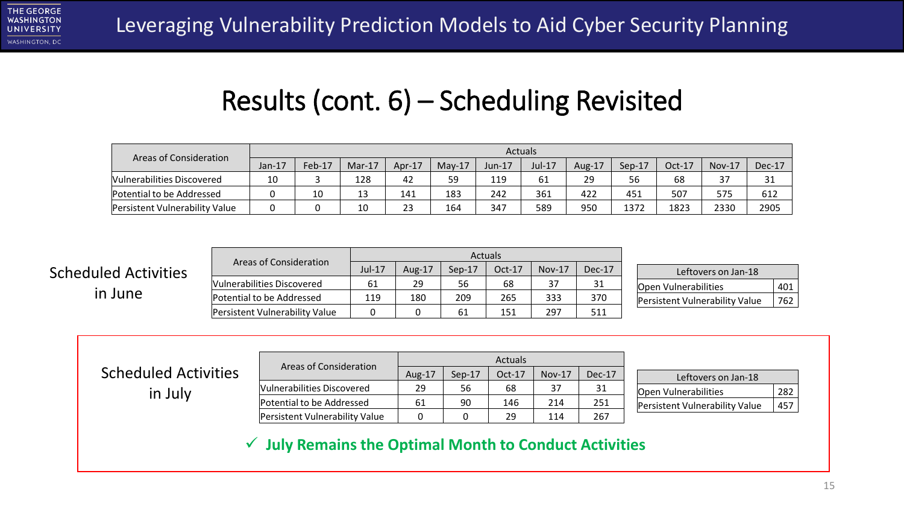#### Results (cont. 6) – Scheduling Revisited

| Areas of Consideration         |           |        |          |        |          |        | <b>Actuals</b> |           |          |        |               |        |
|--------------------------------|-----------|--------|----------|--------|----------|--------|----------------|-----------|----------|--------|---------------|--------|
|                                | Jan- $17$ | Feb-17 | $Mar-17$ | Apr-17 | $Mav-17$ | Jun-17 | Jul-17         | Aug- $17$ | $Sep-17$ | Oct-17 | <b>Nov-17</b> | Dec-17 |
| Vulnerabilities Discovered     | 10        |        | 128      | 42     | 59       | 119    | 61             | 29        | 56       | 68     |               | 31     |
| Potential to be Addressed      |           | 10     | 13       | 141    | 183      | 242    | 361            | 422       | 451      | 507    | 575           | 612    |
| Persistent Vulnerability Value |           |        | 10       | 23     | 164      | 347    | 589            | 950       | 1372     | 1823   | 2330          | 2905   |

|                             |                                |          |        |          | <b>Actuals</b> |          |        |                         |
|-----------------------------|--------------------------------|----------|--------|----------|----------------|----------|--------|-------------------------|
| <b>Scheduled Activities</b> | Areas of Consideration         | $Jul-17$ | Aug-17 | $Sen-17$ | $Oct-17$       | $Nov-17$ | Dec-17 | Leftovers on            |
|                             | Vulnerabilities Discovered     | 61       | 29     | 56       | 68             | 37       | 31     | Open Vulnerabilities    |
| in June                     | Potential to be Addressed      | 119      | 180    | 209      | 265            | 333      | 370    | Persistent Vulnerabilit |
|                             | Persistent Vulnerability Value |          |        | 61       | 151            | 297      | 511    |                         |

| Leftovers on Jan-18            |     |  |  |  |
|--------------------------------|-----|--|--|--|
| <b>Open Vulnerabilities</b>    | 401 |  |  |  |
| Persistent Vulnerability Value | 762 |  |  |  |

| <b>Scheduled Activities</b> | Areas of Consideration         |        |          | <b>Actuals</b> |          |        |                                |     |
|-----------------------------|--------------------------------|--------|----------|----------------|----------|--------|--------------------------------|-----|
|                             |                                | Aug-17 | $Sep-17$ | Oct-17         | $Nov-17$ | Dec-17 | Leftovers on Jan-18            |     |
| in July                     | Vulnerabilities Discovered     | 29     | 56       | 68             | 37       | 31     | Open Vulnerabilities           | 282 |
|                             | Potential to be Addressed      | 61     | 90       | 146            | 214      | 251    | Persistent Vulnerability Value | 457 |
|                             | Persistent Vulnerability Value | 0      |          | 29             | 114      | 267    |                                |     |

✓ **July Remains the Optimal Month to Conduct Activities**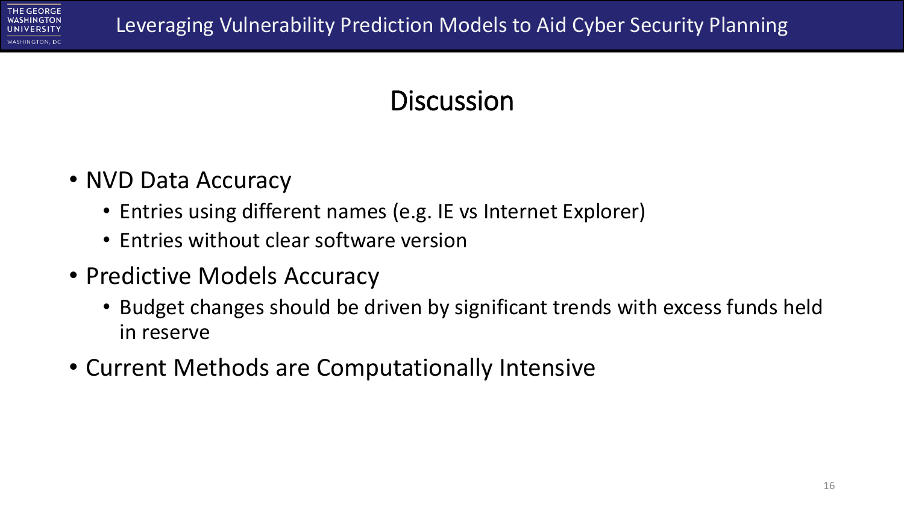

## **Discussion**

- NVD Data Accuracy
	- Entries using different names (e.g. IE vs Internet Explorer)
	- Entries without clear software version
- Predictive Models Accuracy
	- Budget changes should be driven by significant trends with excess funds held in reserve
- Current Methods are Computationally Intensive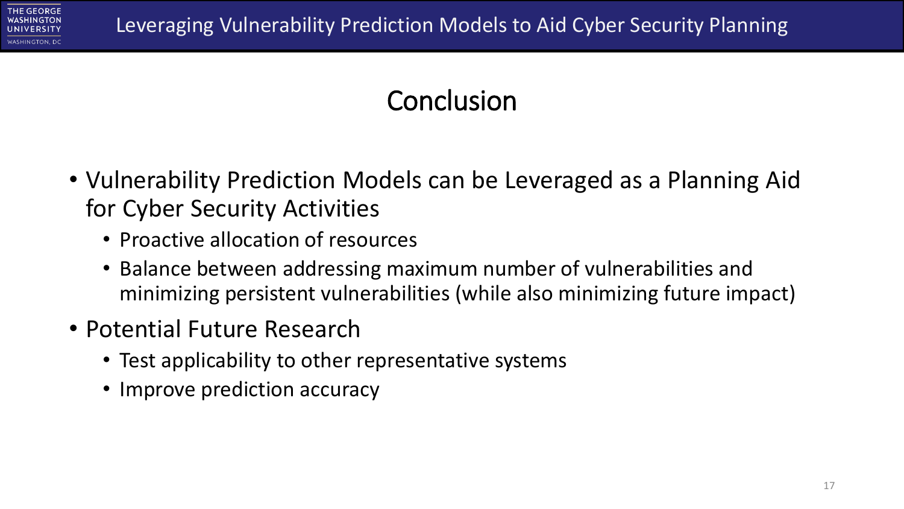

## **Conclusion**

- Vulnerability Prediction Models can be Leveraged as a Planning Aid for Cyber Security Activities
	- Proactive allocation of resources
	- Balance between addressing maximum number of vulnerabilities and minimizing persistent vulnerabilities (while also minimizing future impact)
- Potential Future Research
	- Test applicability to other representative systems
	- Improve prediction accuracy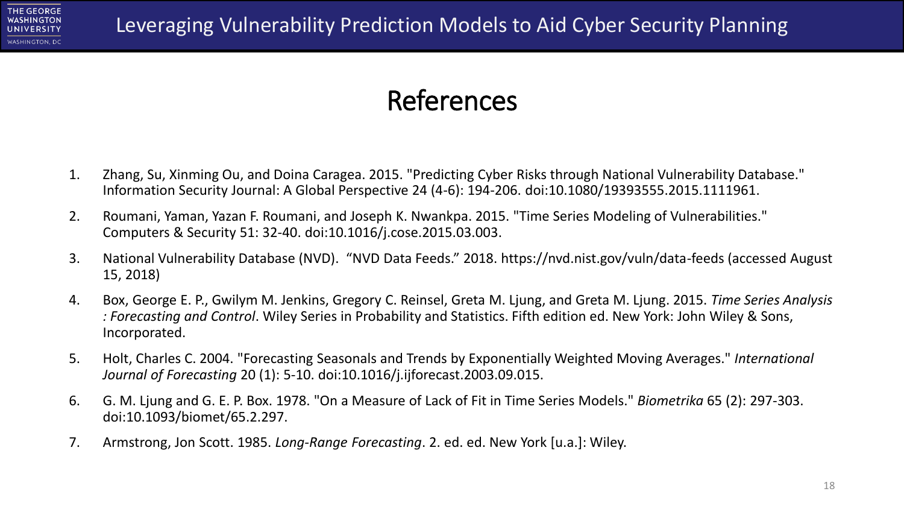

#### References

- 1. Zhang, Su, Xinming Ou, and Doina Caragea. 2015. "Predicting Cyber Risks through National Vulnerability Database." Information Security Journal: A Global Perspective 24 (4-6): 194-206. doi:10.1080/19393555.2015.1111961.
- 2. Roumani, Yaman, Yazan F. Roumani, and Joseph K. Nwankpa. 2015. "Time Series Modeling of Vulnerabilities." Computers & Security 51: 32-40. doi:10.1016/j.cose.2015.03.003.
- 3. National Vulnerability Database (NVD). "NVD Data Feeds." 2018. https://nvd.nist.gov/vuln/data-feeds (accessed August 15, 2018)
- 4. Box, George E. P., Gwilym M. Jenkins, Gregory C. Reinsel, Greta M. Ljung, and Greta M. Ljung. 2015. *Time Series Analysis : Forecasting and Control*. Wiley Series in Probability and Statistics. Fifth edition ed. New York: John Wiley & Sons, Incorporated.
- 5. Holt, Charles C. 2004. "Forecasting Seasonals and Trends by Exponentially Weighted Moving Averages." *International Journal of Forecasting* 20 (1): 5-10. doi:10.1016/j.ijforecast.2003.09.015.
- 6. G. M. Ljung and G. E. P. Box. 1978. "On a Measure of Lack of Fit in Time Series Models." *Biometrika* 65 (2): 297-303. doi:10.1093/biomet/65.2.297.
- 7. Armstrong, Jon Scott. 1985. *Long-Range Forecasting*. 2. ed. ed. New York [u.a.]: Wiley.